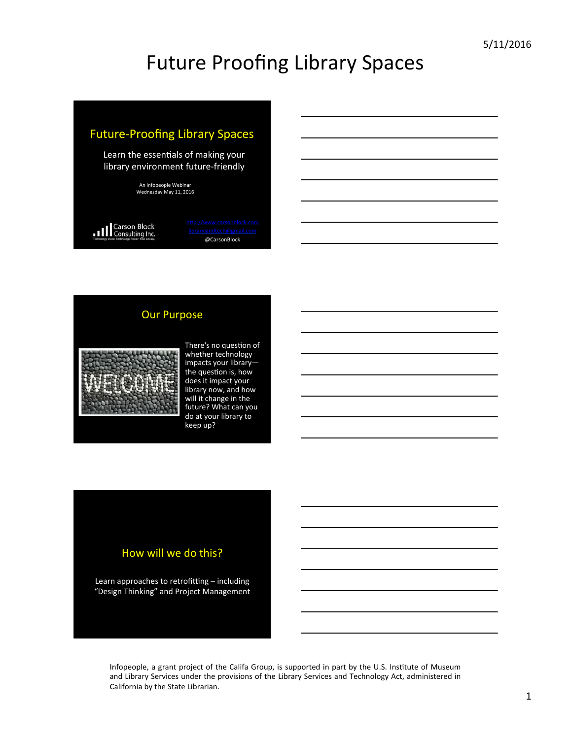

#### **Our Purpose**



There's no question of whether technology impacts your librarythe question is, how does it impact your library now, and how will it change in the future? What can you do at your library to keep up?

#### How will we do this?

Learn approaches to retrofitting  $-$  including "Design Thinking" and Project Management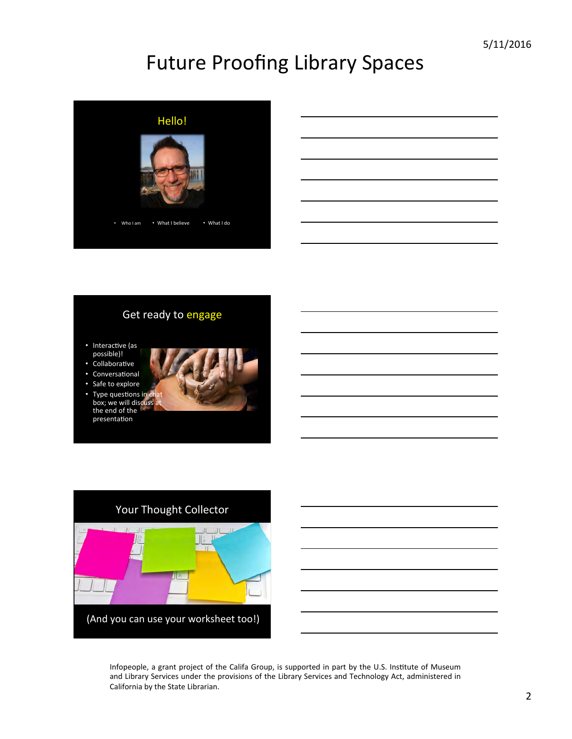

#### Get ready to engage

- Interactive (as possible)!
- .<br>Collaborative
- Conversational Safe to explore
- Type questions in chat box; we will discuss at the end of the presentation

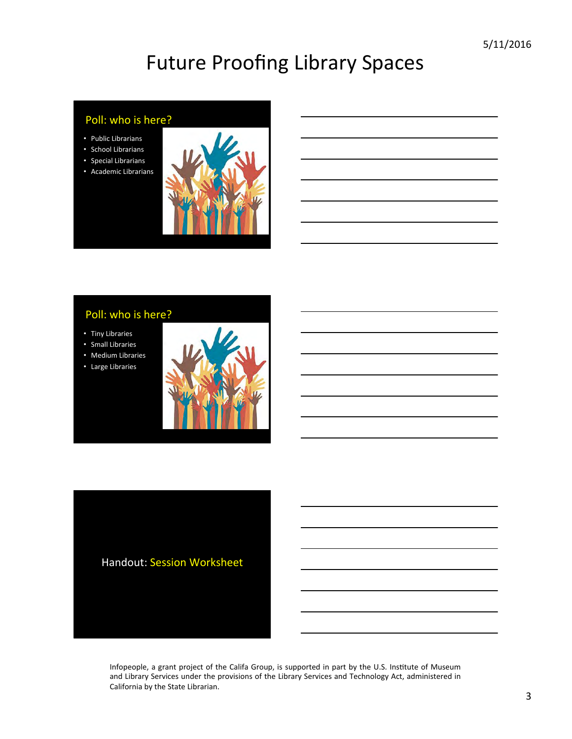#### Poll: who is here?

- Public Librarians
- School Librarians
- Special Librarians
- Academic Librarians



#### Poll: who is here?

- Tiny Libraries
- Small Libraries
- Medium Libraries
- Large Libraries



Handout: Session Worksheet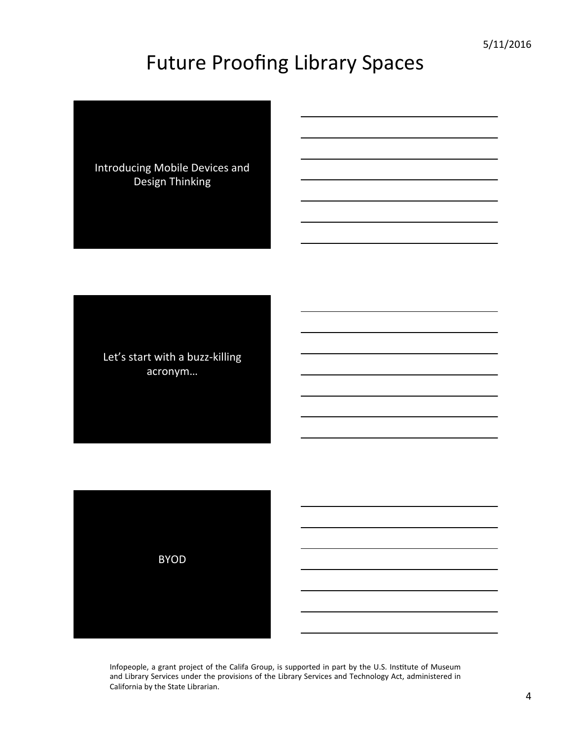Introducing Mobile Devices and Design Thinking 

Let's start with a buzz-killing acronym… 

BYOD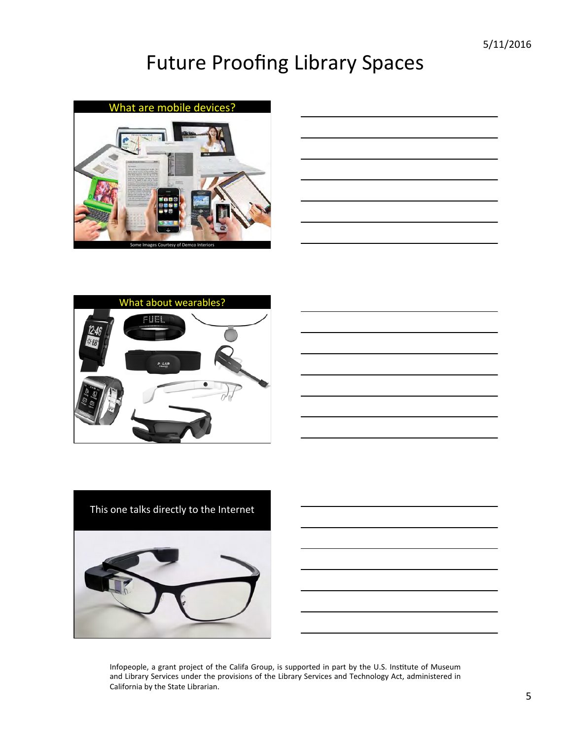





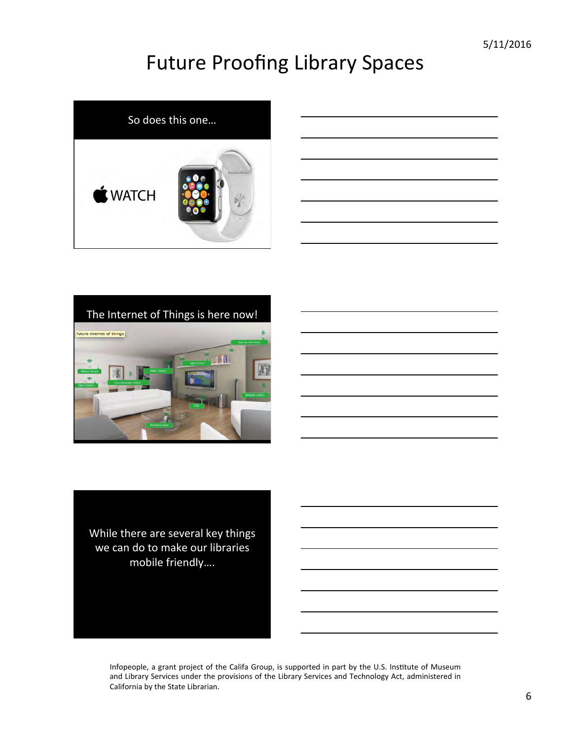





While there are several key things we can do to make our libraries mobile friendly....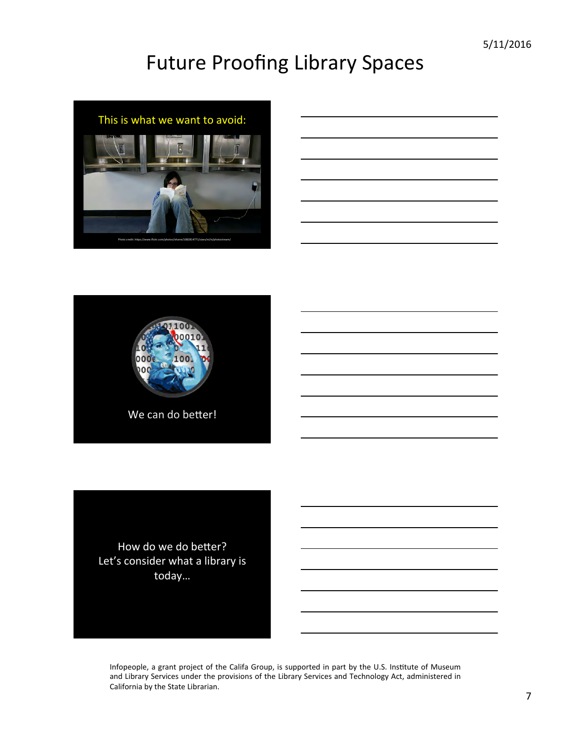





How do we do better? Let's consider what a library is today…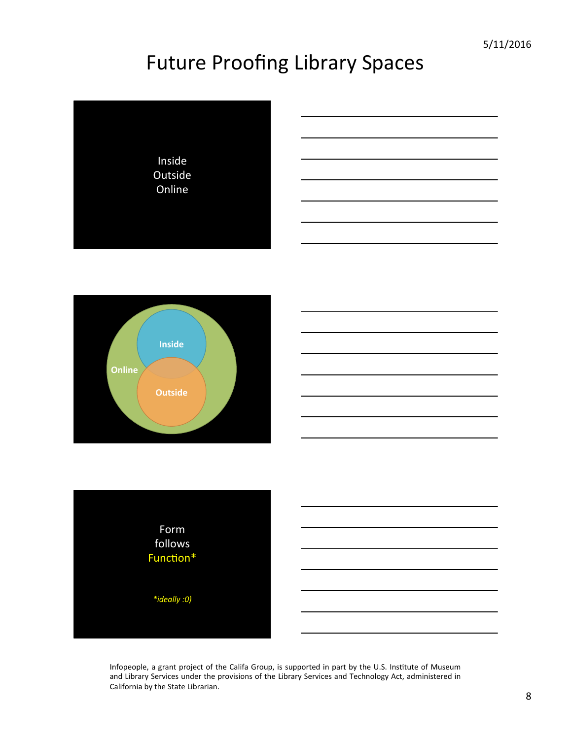



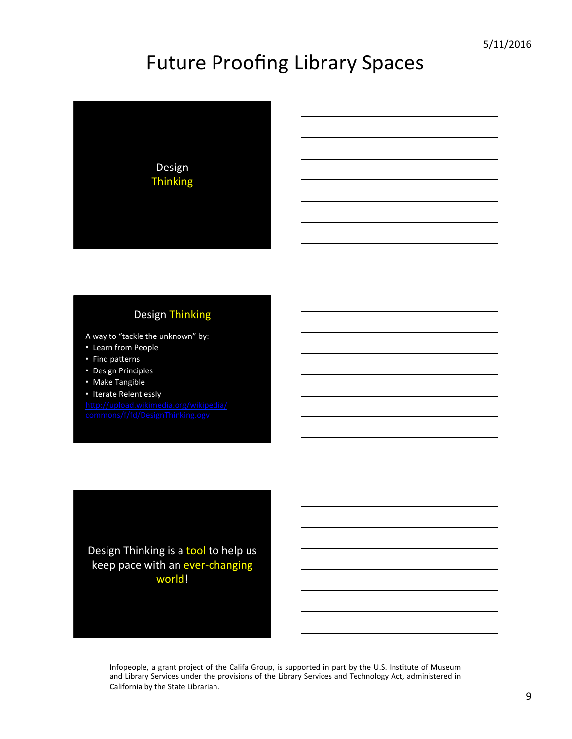

#### Design Thinking

A way to "tackle the unknown" by:

- Learn from People
- Find patterns
- Design Principles
- Make Tangible
- Iterate Relentlessly

http://upload.wikimedia.org/wikipedia/ commons/f/fd/DesignThinking.ogv

Design Thinking is a tool to help us keep pace with an ever-changing world!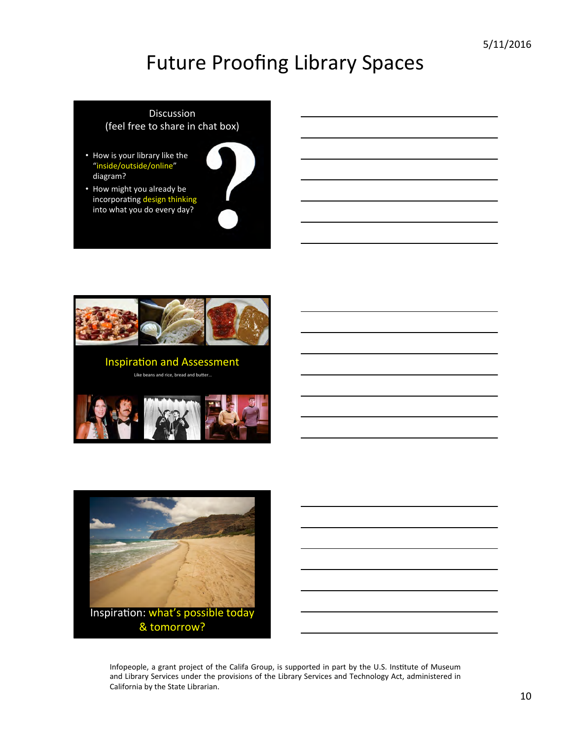#### Discussion (feel free to share in chat box)

- How is your library like the "inside/outside/online" diagram?
- How might you already be incorporating design thinking into what you do every day?





Like beans and rice, bread and butter...



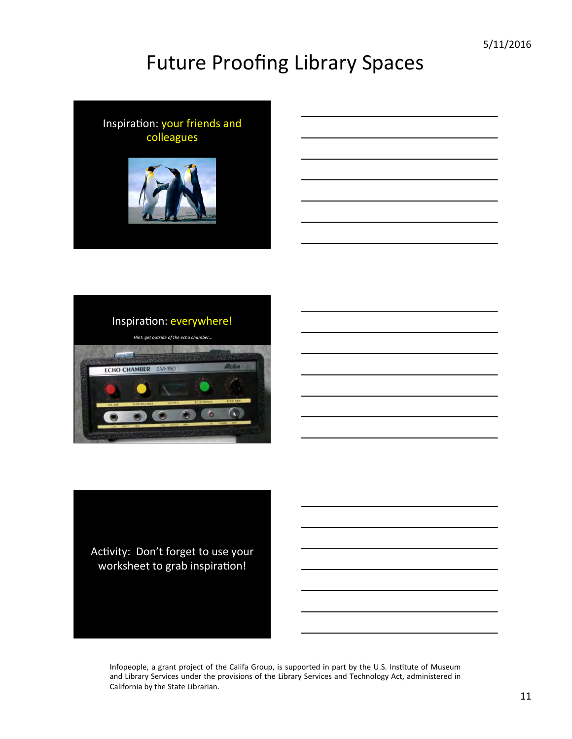



Activity: Don't forget to use your worksheet to grab inspiration!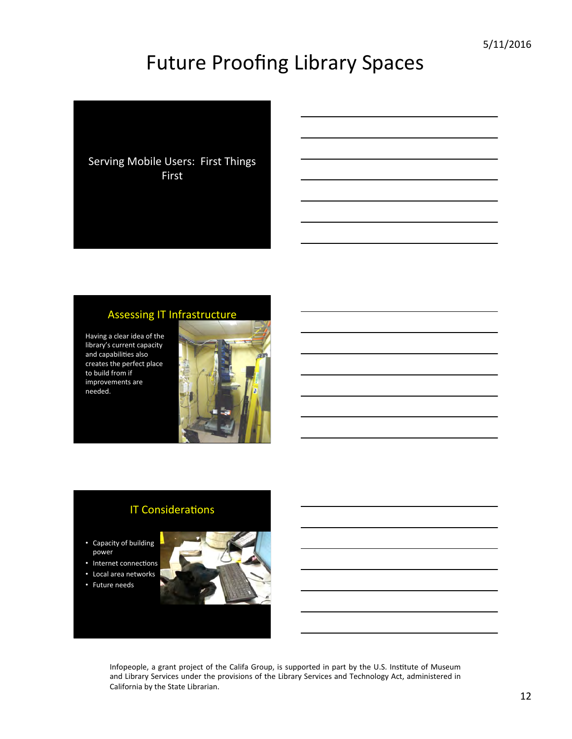Serving Mobile Users: First Things First 

#### Assessing IT Infrastructure

Having a clear idea of the library's current capacity and capabilities also creates the perfect place to build from if improvements are needed. 



#### **IT Considerations**

• Capacity of building power 

- Internet connections
- Local area networks
- Future needs

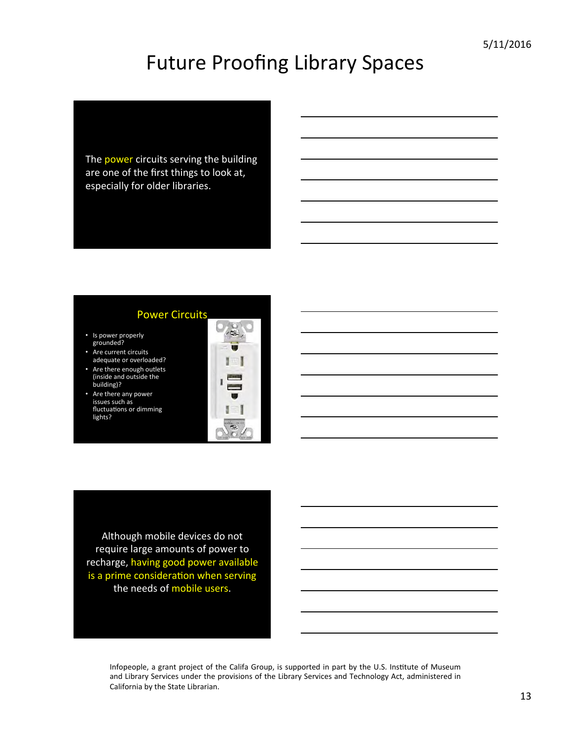The power circuits serving the building are one of the first things to look at, especially for older libraries.

#### **Power Circuits**

- Is power properly grounded?
- Are current circuits adequate or overloaded?
- Are there enough outlets (inside and outside the building)?
- Are there any power issues such as fluctuations or dimming lights?



Although mobile devices do not require large amounts of power to recharge, having good power available is a prime consideration when serving the needs of mobile users.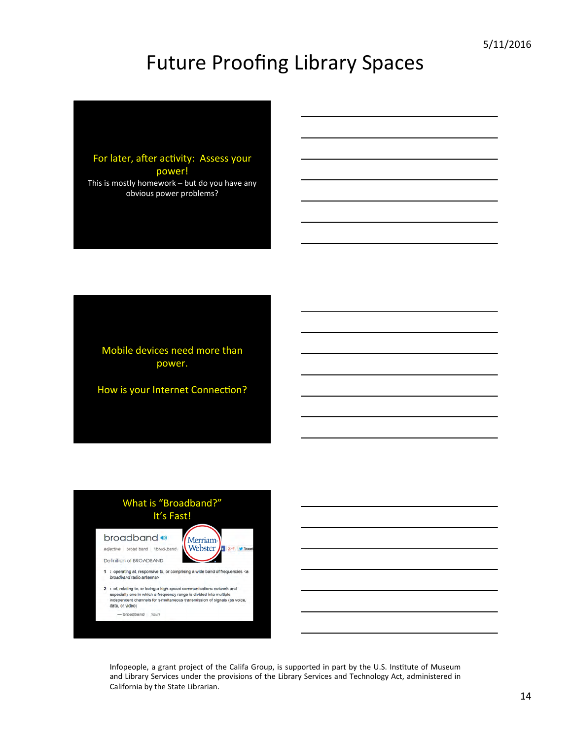

Mobile devices need more than power. 

How is your Internet Connection?

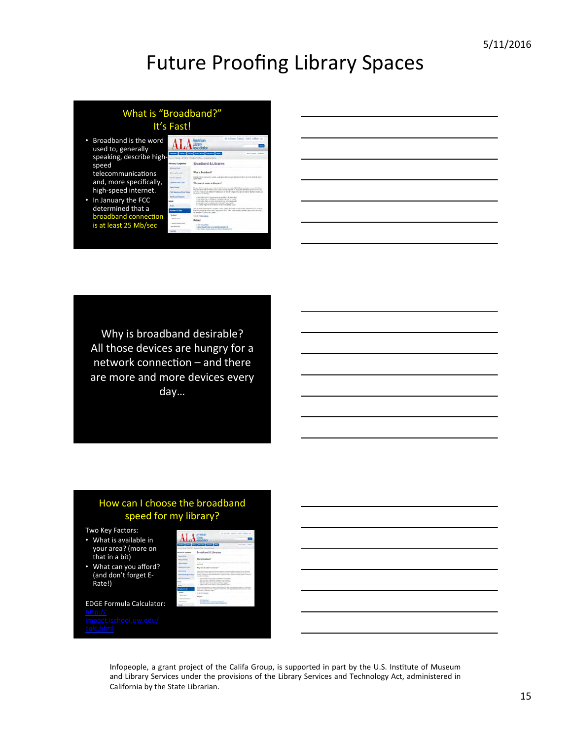#### What is "Broadband?" It's Fast! • Broadband is the word .A Ξ used to, generally tes for any finance for speaking, describe high **Broadband & Libraries** speed What's Brooklead telecommunications and, more specifically, .<br>Why does it matter to libraries' high-speed internet. .<br>The main of the stressing way to calculate a front films . These films .<br>The project of the stressing point of the context party of the<br>majoranty . For Monety  $\label{eq:3} \begin{split} &\mathcal{L}(0) \otimes \mathcal{R} \times \mathcal{L}(0) \otimes \mathcal{L}(0) \otimes \mathcal{L}(0) \otimes \mathcal{L}(0) \otimes \mathcal{L}(0) \otimes \mathcal{L}(0) \otimes \mathcal{L}(0) \otimes \mathcal{L}(0) \otimes \mathcal{L}(0) \otimes \mathcal{L}(0) \otimes \mathcal{L}(0) \otimes \mathcal{L}(0) \otimes \mathcal{L}(0) \otimes \mathcal{L}(0) \otimes \mathcal{L}(0) \otimes \mathcal{L}(0) \otimes \mathcal{L}(0) \otimes \$ • In January the FCC determined that a Changes for policity again.<br>Selected and profit in the band connectior is at least 25 Mb/sec **Statement**

Why is broadband desirable? All those devices are hungry for a network connection  $-$  and there are more and more devices every day… 

#### How can I choose the broadband speed for my library?

**ALA** 

Two Key Factors:

- What is available in your area? (more on that in a bit)
- What can you afford? (and don't forget E-Rate!)

**EDGE Formula Calculator:** <u>http://</u> chool.uw.edu/

e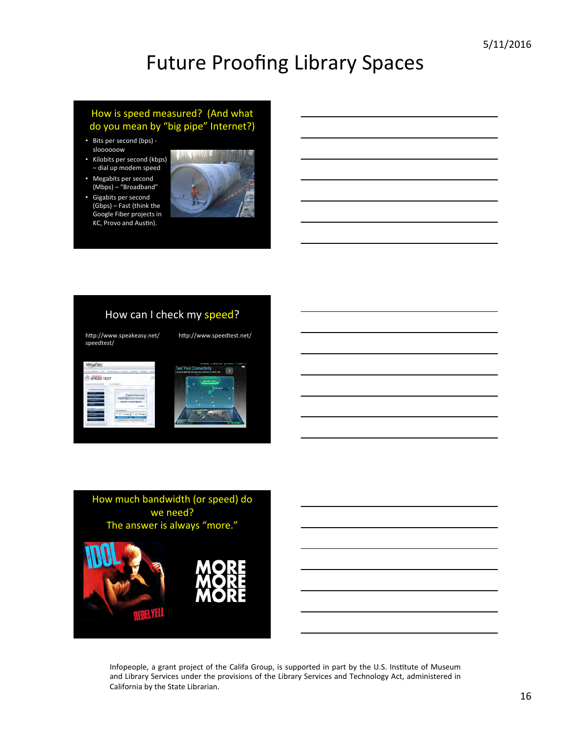#### How is speed measured? (And what do you mean by "big pipe" Internet?)

- Bits per second (bps) sloooooow
- Kilobits per second (kbps) - dial up modem speed
- Megabits per second (Mbps) - "Broadband"
- Gigabits per second (Gbps) - Fast (think the Google Fiber projects in KC, Provo and Austin).



#### How can I check my speed?

http://www.speakeasy.net/ speedtest/ 

http://www.speedtest.net/

| MegaPath<br><b><i><u>SALE A ATTRONOMICS</u></i></b><br><b>MONTH AND A</b><br><b>Allenta</b> | <b>American</b>                                                                                                                                                                                                       |       |  |
|---------------------------------------------------------------------------------------------|-----------------------------------------------------------------------------------------------------------------------------------------------------------------------------------------------------------------------|-------|--|
| <b>SPEED TEST</b><br>advision in Links                                                      | turn Galax                                                                                                                                                                                                            |       |  |
| <b>Institute Australian Car</b><br>≕                                                        | <b>Despite Qualified</b><br><b>NOSTED EXCHANGE</b><br>Data \$2.00 + Then Small Migration<br>$-100$<br><b>Car and about</b><br># 01.15mm # 22.04mm<br>_____<br>_<br>In signification steely that processed trials, and |       |  |
|                                                                                             |                                                                                                                                                                                                                       | costs |  |



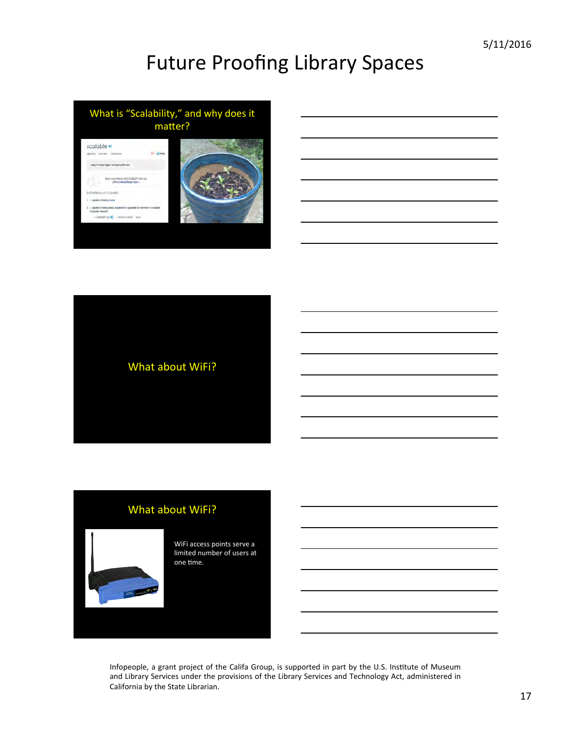





#### What about WiFi?



WiFi access points serve a limited number of users at one time.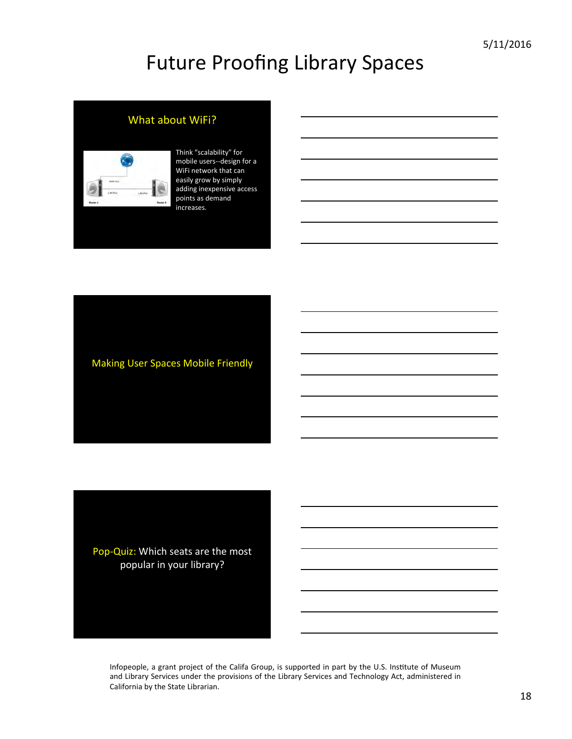#### What about WiFi?



#### Think "scalability" for mobile users--design for a WiFi network that can easily grow by simply adding inexpensive access points as demand increases.

**Making User Spaces Mobile Friendly** 

Pop-Quiz: Which seats are the most popular in your library?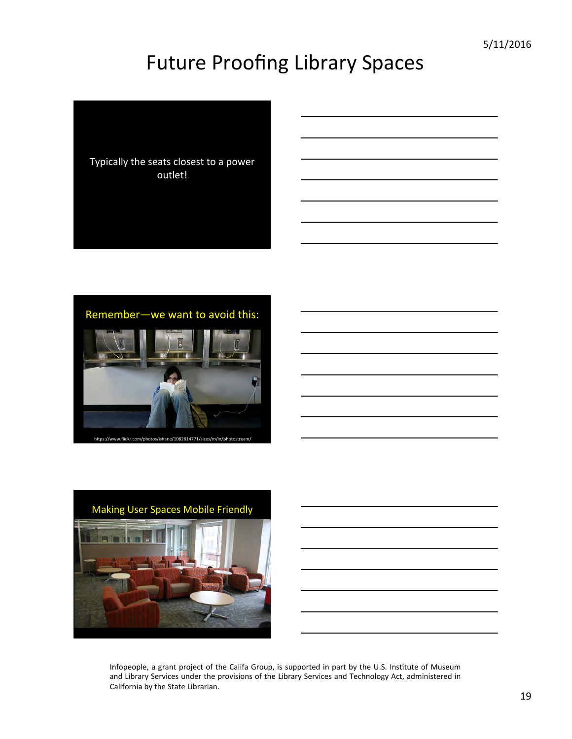



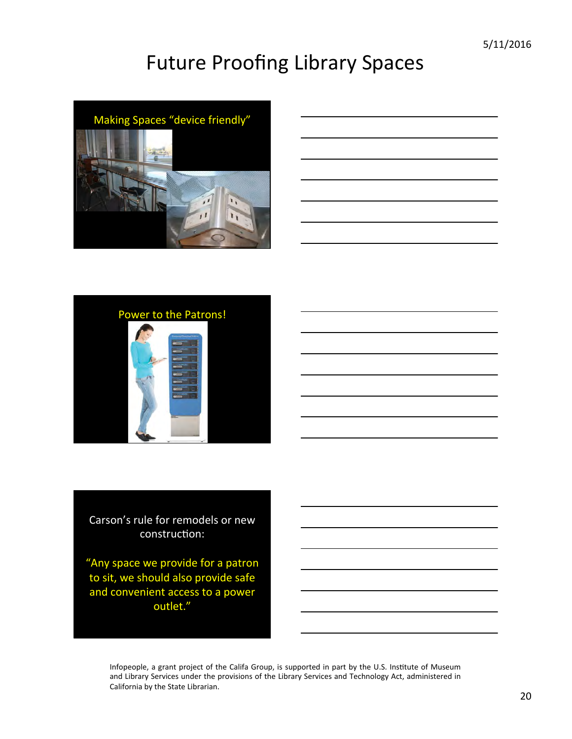

| the control of the control of the |  |
|-----------------------------------|--|



Carson's rule for remodels or new construction:

"Any space we provide for a patron to sit, we should also provide safe and convenient access to a power outlet."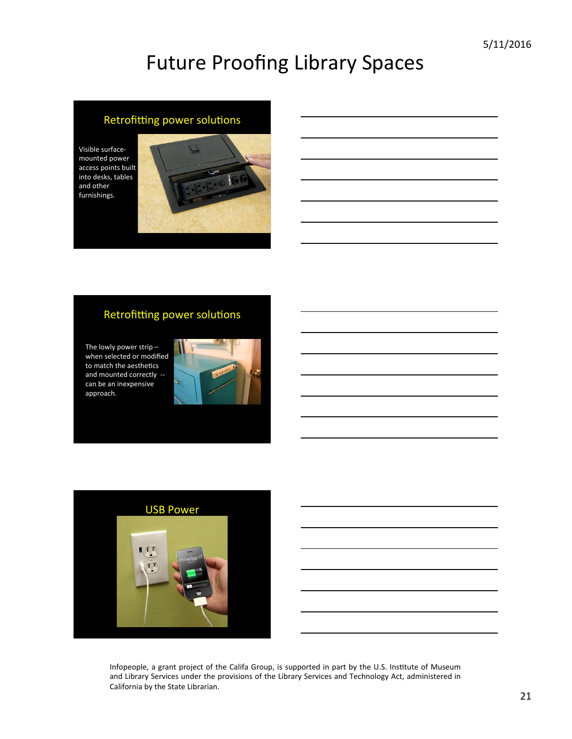#### Retrofitting power solutions

Visible surfacemounted power access points built into desks, tables and other furnishings. 



#### Retrofitting power solutions

The lowly power strip  $$ when selected or modified to match the aesthetics and mounted correctly can be an inexpensive approach. 



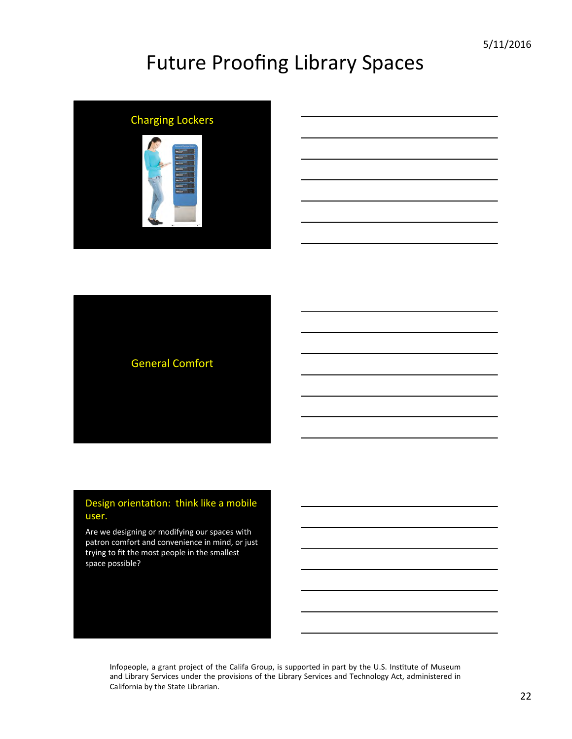

| -   |
|-----|
|     |
|     |
|     |
|     |
|     |
|     |
| ___ |
|     |
|     |
|     |
|     |
|     |
| ___ |
|     |
|     |
|     |
|     |
|     |
|     |
|     |
|     |
|     |
|     |
|     |
|     |
|     |
|     |
|     |
|     |
|     |
|     |
|     |
|     |
|     |
|     |
|     |
|     |
|     |
|     |



#### Design orientation: think like a mobile user.

Are we designing or modifying our spaces with patron comfort and convenience in mind, or just trying to fit the most people in the smallest space possible?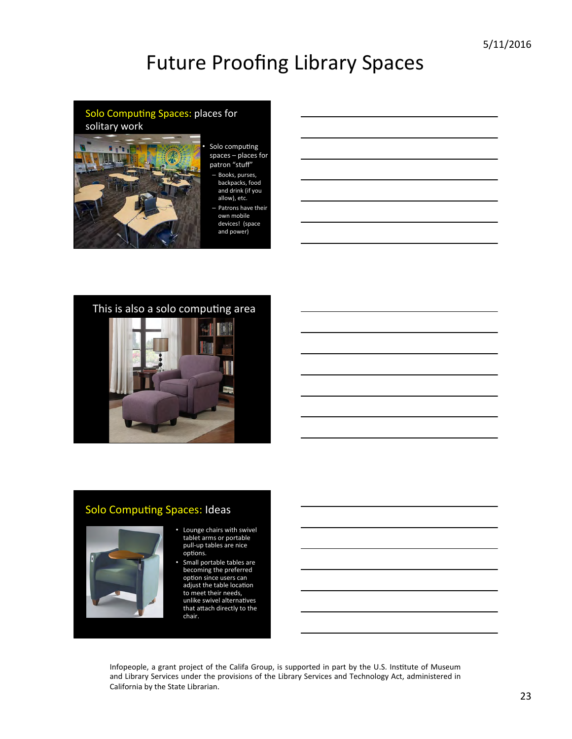# Solo Computing Spaces: places for solitary work

- Solo computing spaces  $-$  places for patron "stuff"
	- Books, purses, backpacks, food and drink (if you allow), etc.
	- Patrons have their own mobile devices! (space and power)

#### This is also a solo computing area



## Solo Computing Spaces: Ideas



#### • Lounge chairs with swivel tablet arms or portable pull-up tables are nice options.

Small portable tables are becoming the preferred option since users can adjust the table location to meet their needs, unlike swivel alternatives that attach directly to the chair.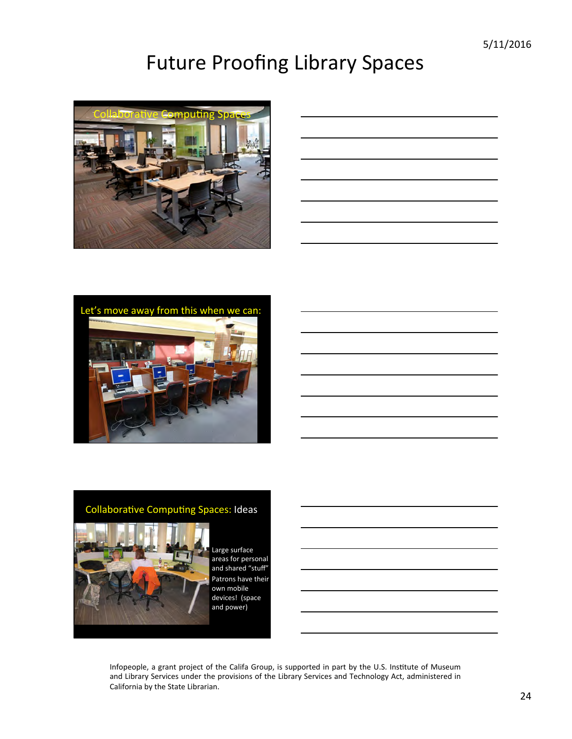

|  | <u> 1989 - Andrea Andrew Maria (h. 1989).</u> |
|--|-----------------------------------------------|
|  |                                               |
|  |                                               |
|  |                                               |
|  |                                               |
|  |                                               |
|  |                                               |
|  |                                               |
|  |                                               |
|  |                                               |
|  |                                               |



#### Collaborative Computing Spaces: Ideas



Large surface areas for personal and shared "stuff" Patrons have their own mobile devices! (space and power)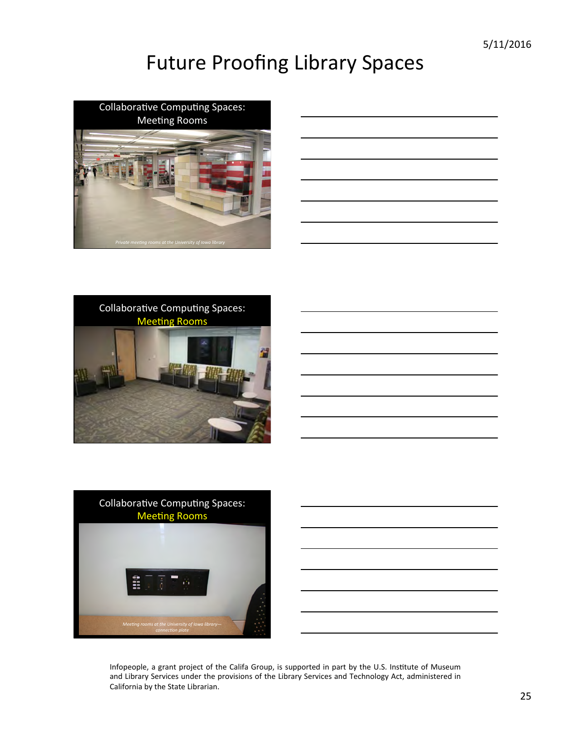





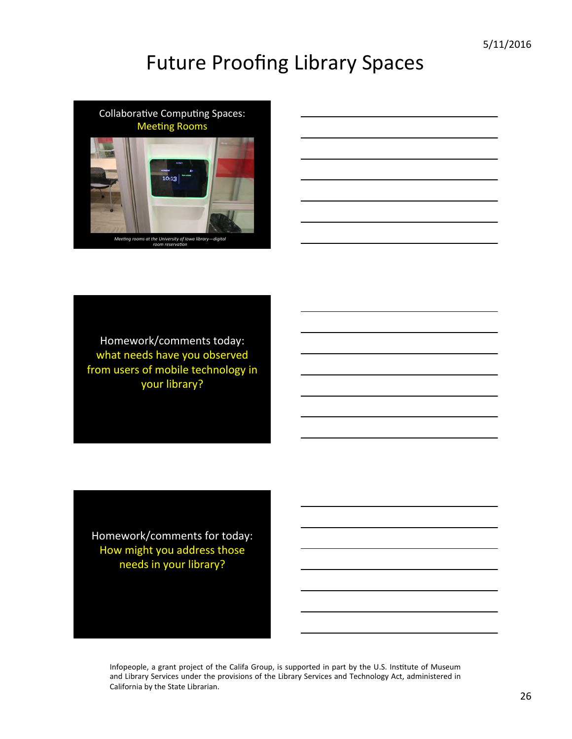



Homework/comments today: what needs have you observed from users of mobile technology in your library?

Homework/comments for today: How might you address those needs in your library?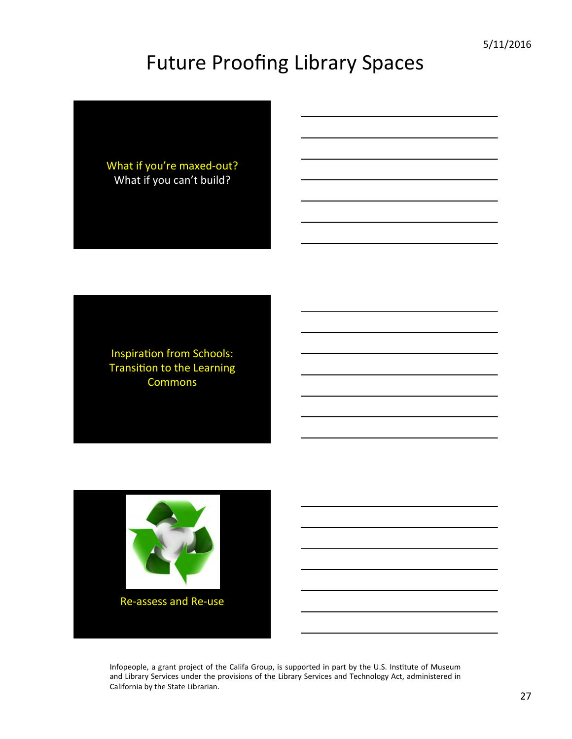What if you're maxed-out? What if you can't build?

Inspiration from Schools: Transition to the Learning Commons

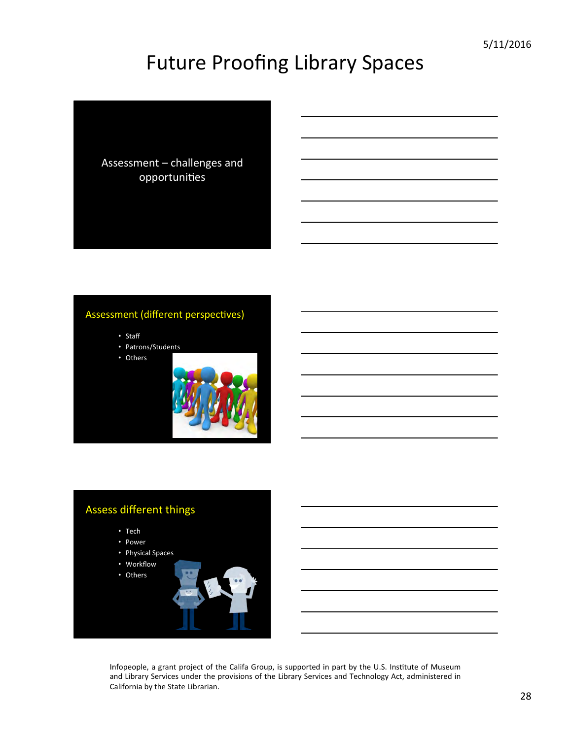

#### Assessment (different perspectives)

- Staff
- Patrons/Students
- Others



## Assess different things • Tech • Power • Physical Spaces • Workflow • Others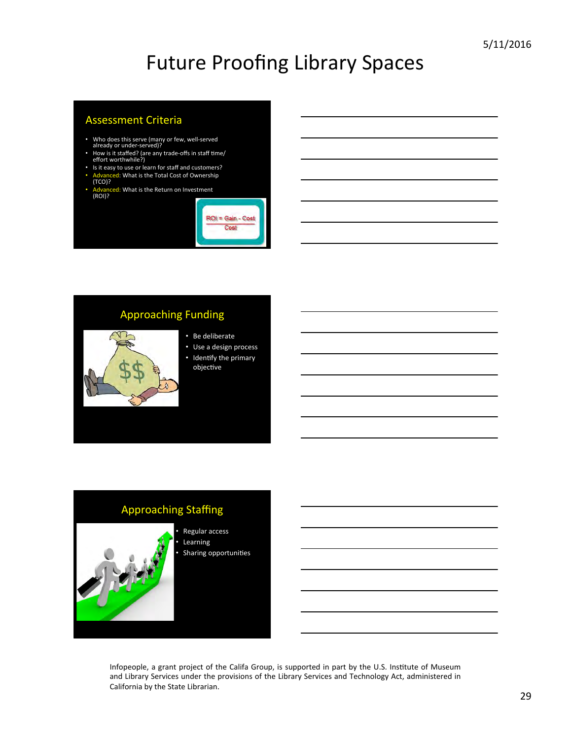#### **Assessment Criteria**

- Who does this serve (many or few, well-served<br>already or under-served)?
- How is it staffed? (are any trade-offs in staff time/<br>effort worthwhile?)
- Is it easy to use or learn for staff and customers?
- ed: What is the Total Cost of Ownership
- (TCO)?
- **ed:** What is the Return on Investment (ROI)?



#### **Approaching Funding**

- Be deliberate
- Use a design process
- Identify the primary objective

## **Approaching Staffing**



m

Regular access **Learning** Sharing opportunities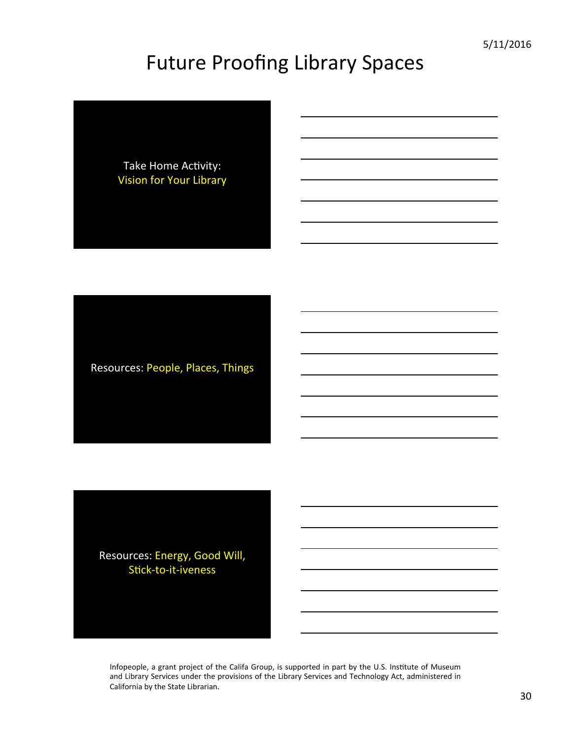Take Home Activity: **Vision for Your Library** 

Resources: People, Places, Things

Resources: Energy, Good Will, Stick-to-it-iveness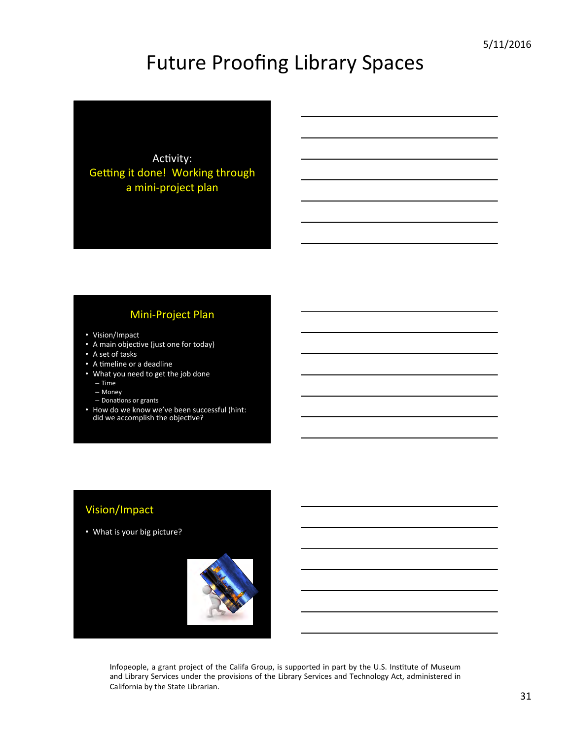

#### Mini-Project Plan

- Vision/Impact
- A main objective (just one for today)
- A set of tasks
- A timeline or a deadline
- What you need to get the job done
	- Time
	- Money
	- Donations or grants
- How do we know we've been successful (hint: did we accomplish the objective?

#### Vision/Impact

• What is your big picture?

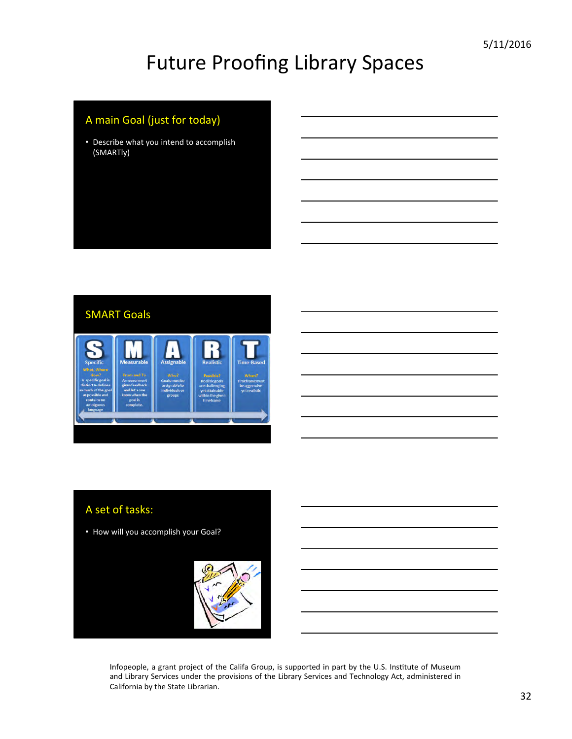### A main Goal (just for today)

• Describe what you intend to accomplish (SMARTly) 



#### A set of tasks:

• How will you accomplish your Goal?

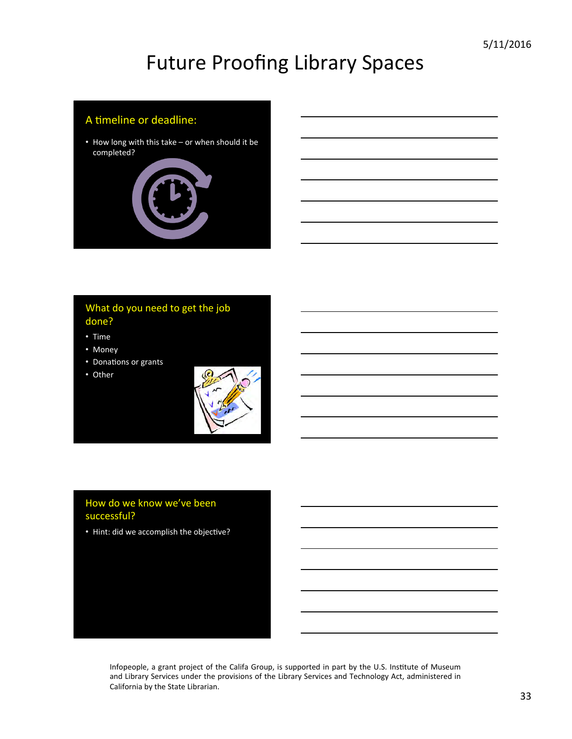#### A timeline or deadline:

• How long with this take – or when should it be completed? 



#### What do you need to get the job done?

- Time
- Money
- Donations or grants
- Other



#### How do we know we've been successful?

• Hint: did we accomplish the objective?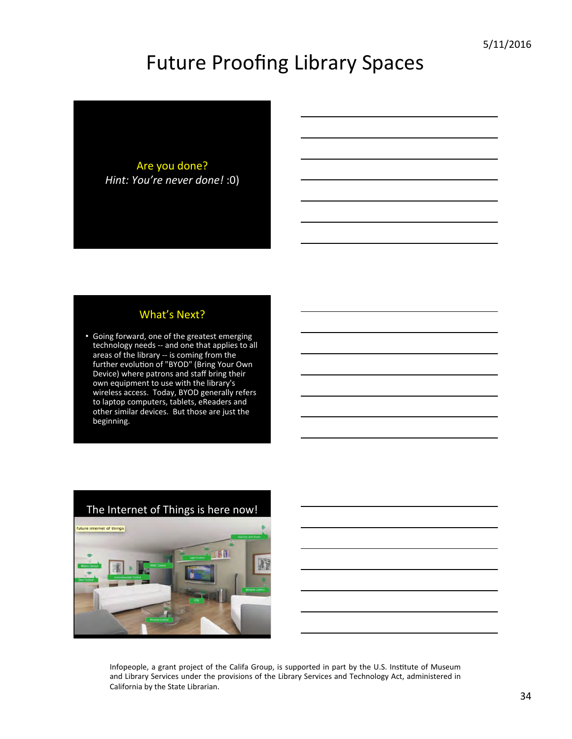Are you done? *Hint: You're never done!* :0)

#### What's Next?

• Going forward, one of the greatest emerging technology needs -- and one that applies to all areas of the library -- is coming from the further evolution of "BYOD" (Bring Your Own Device) where patrons and staff bring their own equipment to use with the library's wireless access. Today, BYOD generally refers to laptop computers, tablets, eReaders and other similar devices. But those are just the beginning.